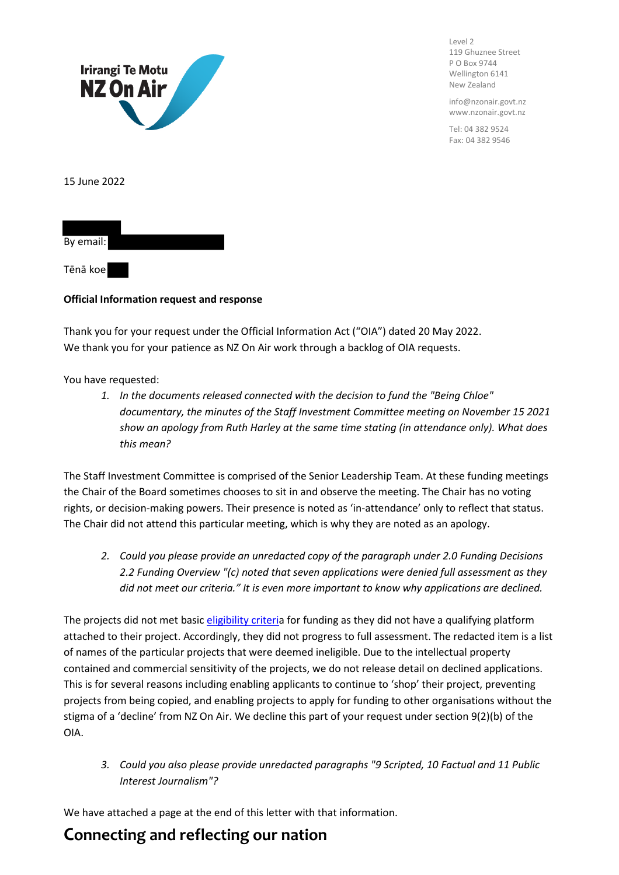

Level 2 119 Ghuznee Street P O Box 9744 Wellington 6141 New Zealand

info@nzonair.govt.nz www.nzonair.govt.nz

Tel: 04 382 9524 Fax: 04 382 9546

15 June 2022



Tēnā koe

### **Official Information request and response**

Thank you for your request under the Official Information Act ("OIA") dated 20 May 2022. We thank you for your patience as NZ On Air work through a backlog of OIA requests.

You have requested:

*1. In the documents released connected with the decision to fund the "Being Chloe" documentary, the minutes of the Staff Investment Committee meeting on November 15 2021 show an apology from Ruth Harley at the same time stating (in attendance only). What does this mean?*

The Staff Investment Committee is comprised of the Senior Leadership Team. At these funding meetings the Chair of the Board sometimes chooses to sit in and observe the meeting. The Chair has no voting rights, or decision-making powers. Their presence is noted as 'in-attendance' only to reflect that status. The Chair did not attend this particular meeting, which is why they are noted as an apology.

*2. Could you please provide an unredacted copy of the paragraph under 2.0 Funding Decisions 2.2 Funding Overview "(c) noted that seven applications were denied full assessment as they did not meet our criteria." It is even more important to know why applications are declined.*

The projects did not met basi[c eligibility](chrome-extension://efaidnbmnnnibpcajpcglclefindmkaj/https:/d3r9t6niqlb7tz.cloudfront.net/media/documents/General_Guidelines_KHF7gBi_ldUTK2m.pdf) criteria for funding as they did not have a qualifying platform attached to their project. Accordingly, they did not progress to full assessment. The redacted item is a list of names of the particular projects that were deemed ineligible. Due to the intellectual property contained and commercial sensitivity of the projects, we do not release detail on declined applications. This is for several reasons including enabling applicants to continue to 'shop' their project, preventing projects from being copied, and enabling projects to apply for funding to other organisations without the stigma of a 'decline' from NZ On Air. We decline this part of your request under section 9(2)(b) of the OIA.

*3. Could you also please provide unredacted paragraphs "9 Scripted, 10 Factual and 11 Public Interest Journalism"?*

We have attached a page at the end of this letter with that information.

# **Connecting and reflecting our nation**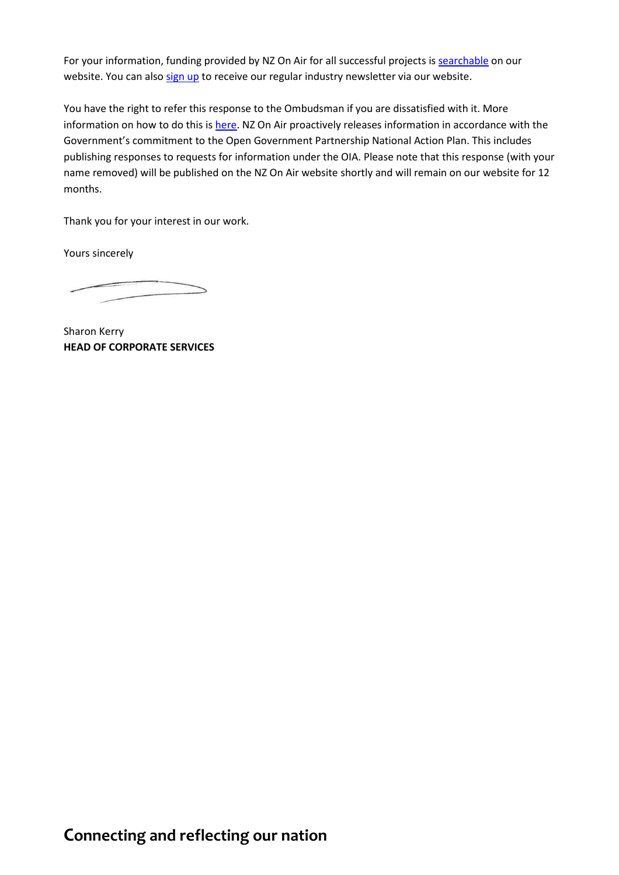For your information, funding provided by NZ On Air for all successful projects is [searchable](https://www.nzonair.govt.nz/search/) on our website. You can als[o sign up](https://govt.us7.list-manage.com/subscribe?u=defea490d12b73c4ed8504b5b&id=1226faf438) to receive our regular industry newsletter via our website.

You have the right to refer this response to the Ombudsman if you are dissatisfied with it. More information on how to do this is [here.](http://www.ombudsman.parliament.nz/make-a-complaint/complaining-about-access-to-official-information-551307291224432) NZ On Air proactively releases information in accordance with the Government's commitment to the Open Government Partnership National Action Plan. This includes publishing responses to requests for information under the OIA. Please note that this response (with your name removed) will be published on the NZ On Air website shortly and will remain on our website for 12 months.

Thank you for your interest in our work.

Yours sincerely

Sharon Kerry **HEAD OF CORPORATE SERVICES**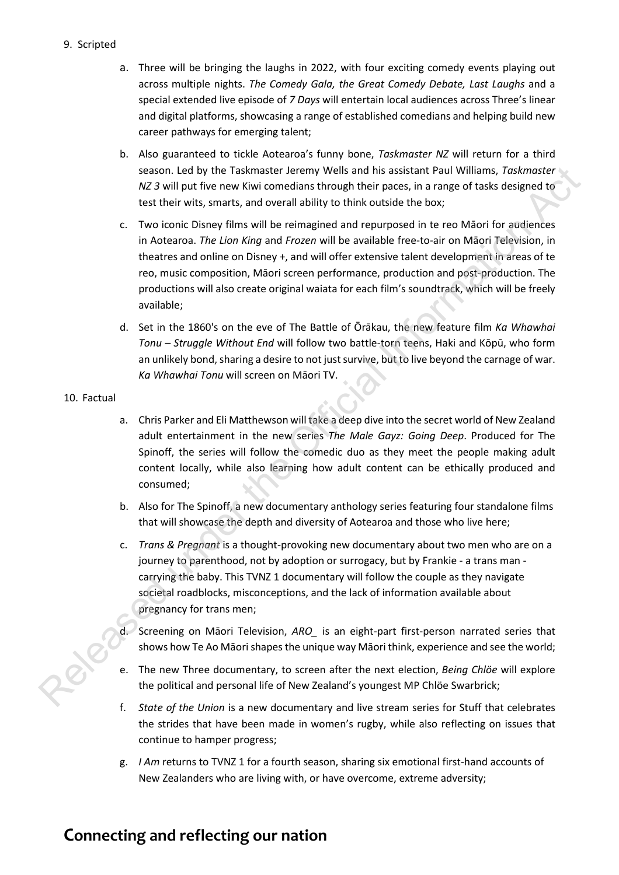### 9. Scripted

- a. Three will be bringing the laughs in 2022, with four exciting comedy events playing out across multiple nights. *The Comedy Gala, the Great Comedy Debate, Last Laughs* and a special extended live episode of *7 Days* will entertain local audiences across Three's linear and digital platforms, showcasing a range of established comedians and helping build new career pathways for emerging talent;
- b. Also guaranteed to tickle Aotearoa's funny bone, *Taskmaster NZ* will return for a third season. Led by the Taskmaster Jeremy Wells and his assistant Paul Williams, *Taskmaster NZ 3* will put five new Kiwi comedians through their paces, in a range of tasks designed to test their wits, smarts, and overall ability to think outside the box;
- c. Two iconic Disney films will be reimagined and repurposed in te reo Māori for audiences in Aotearoa. *The Lion King* and *Frozen* will be available free-to-air on Māori Television, in theatres and online on Disney +, and will offer extensive talent development in areas of te reo, music composition, Māori screen performance, production and post-production. The productions will also create original waiata for each film's soundtrack, which will be freely available; season. Led by the Taskmatter internet with sixe based in a saistent Pearl Williams, Toskmatter<br>
Release the Official Information Action Conservation Action Action Action Action Action Action Channel Hall Information Actio
	- d. Set in the 1860's on the eve of The Battle of Ōrākau, the new feature film *Ka Whawhai Tonu – Struggle Without End* will follow two battle-torn teens, Haki and Kōpū, who form an unlikely bond, sharing a desire to not just survive, but to live beyond the carnage of war. *Ka Whawhai Tonu* will screen on Māori TV.

#### 10. Factual

- a. Chris Parker and Eli Matthewson will take a deep dive into the secret world of New Zealand adult entertainment in the new series *The Male Gayz: Going Deep*. Produced for The Spinoff, the series will follow the comedic duo as they meet the people making adult content locally, while also learning how adult content can be ethically produced and consumed;
- b. Also for The Spinoff, a new documentary anthology series featuring four standalone films that will showcase the depth and diversity of Aotearoa and those who live here;
- c. *Trans & Pregnant* is a thought-provoking new documentary about two men who are on a journey to parenthood, not by adoption or surrogacy, but by Frankie - a trans man carrying the baby. This TVNZ 1 documentary will follow the couple as they navigate societal roadblocks, misconceptions, and the lack of information available about pregnancy for trans men;
- d. Screening on Māori Television, *ARO\_* is an eight-part first-person narrated series that shows how Te Ao Māori shapes the unique way Māori think, experience and see the world;
- e. The new Three documentary, to screen after the next election, *Being Chlöe* will explore the political and personal life of New Zealand's youngest MP Chlöe Swarbrick;
- f. *State of the Union* is a new documentary and live stream series for Stuff that celebrates the strides that have been made in women's rugby, while also reflecting on issues that continue to hamper progress;
- g. *I Am* returns to TVNZ 1 for a fourth season, sharing six emotional first-hand accounts of New Zealanders who are living with, or have overcome, extreme adversity;

# **Connecting and reflecting our nation**